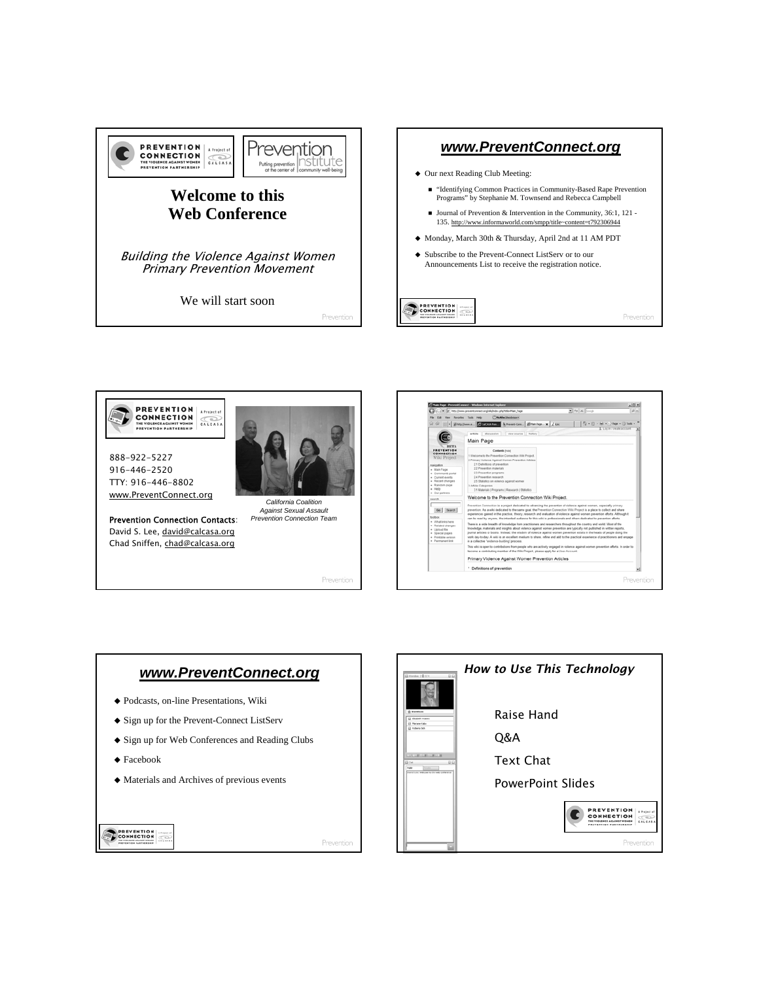









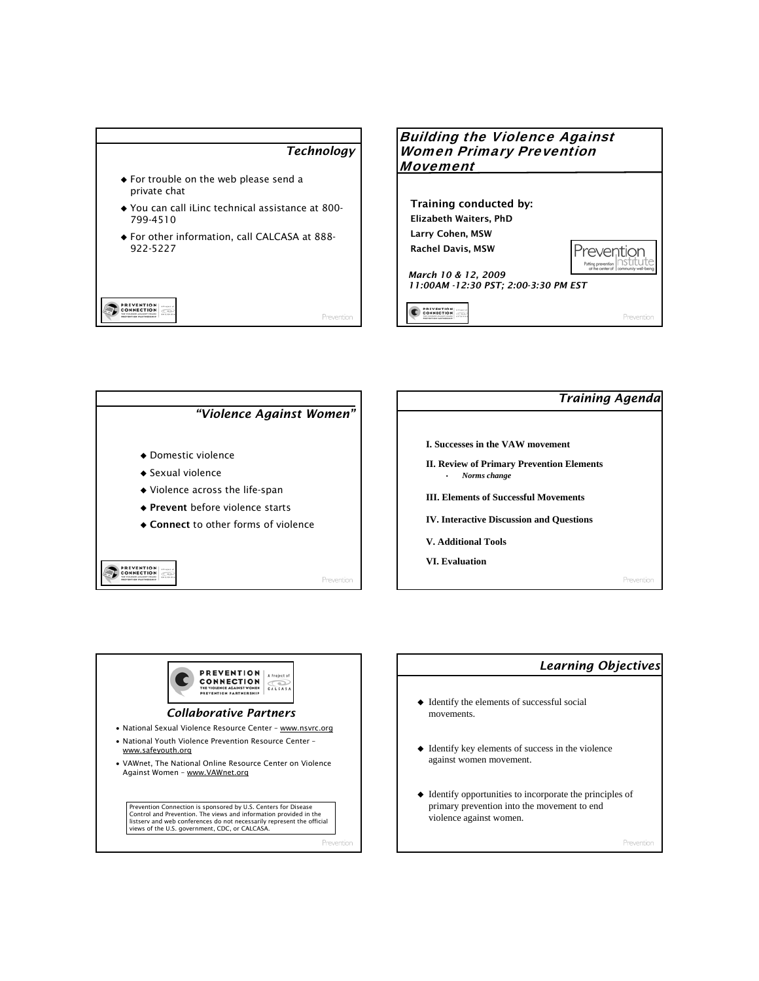









## *Learning Objectives*  $\blacklozenge$  Identify the elements of successful social movements. Identify key elements of success in the violence against women movement.  $\blacklozenge$  Identify opportunities to incorporate the principles of primary prevention into the movement to end violence against women.

Preventio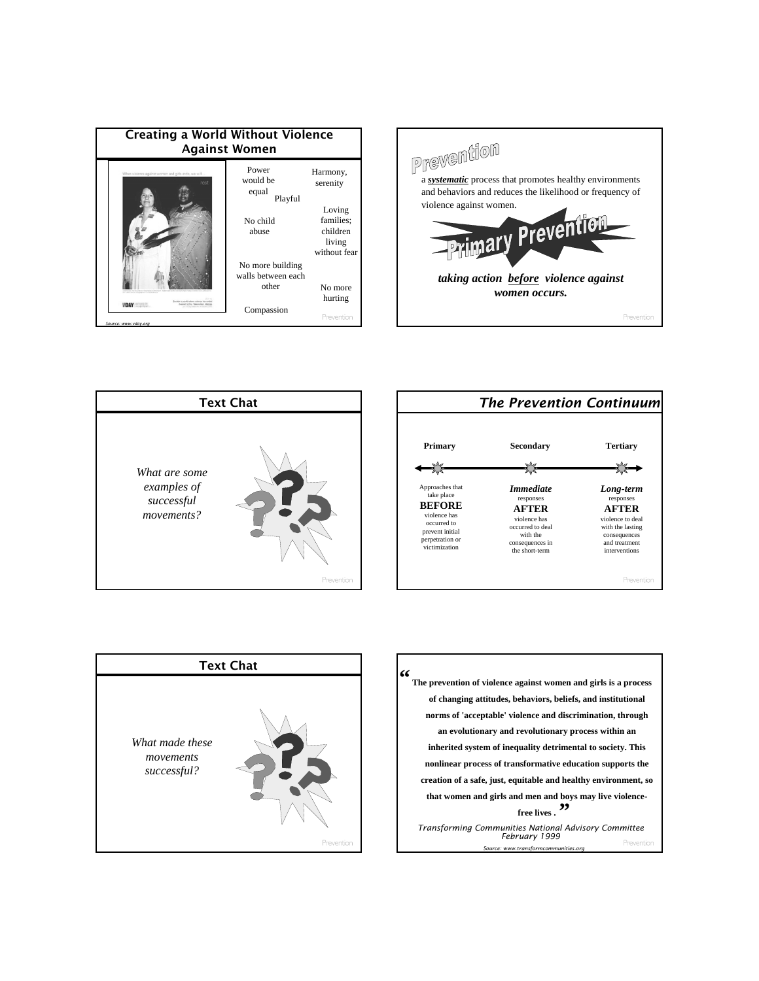| <b>Creating a World Without Violence</b><br><b>Against Women</b> |                                                            |                                                                                   |  |  |  |  |  |
|------------------------------------------------------------------|------------------------------------------------------------|-----------------------------------------------------------------------------------|--|--|--|--|--|
| When violence against women and girls ends, we will.             | Power<br>would be<br>equal<br>Playful<br>No child<br>abuse | Harmony,<br>serenity<br>Loving<br>families:<br>children<br>living<br>without fear |  |  |  |  |  |
| a politicher videos ha ande<br>clay has aren new                 | No more building<br>walls between each<br>other            | No more<br>hurting                                                                |  |  |  |  |  |
| Source: www.vdav.ora                                             | Compassion                                                 | Prevention                                                                        |  |  |  |  |  |









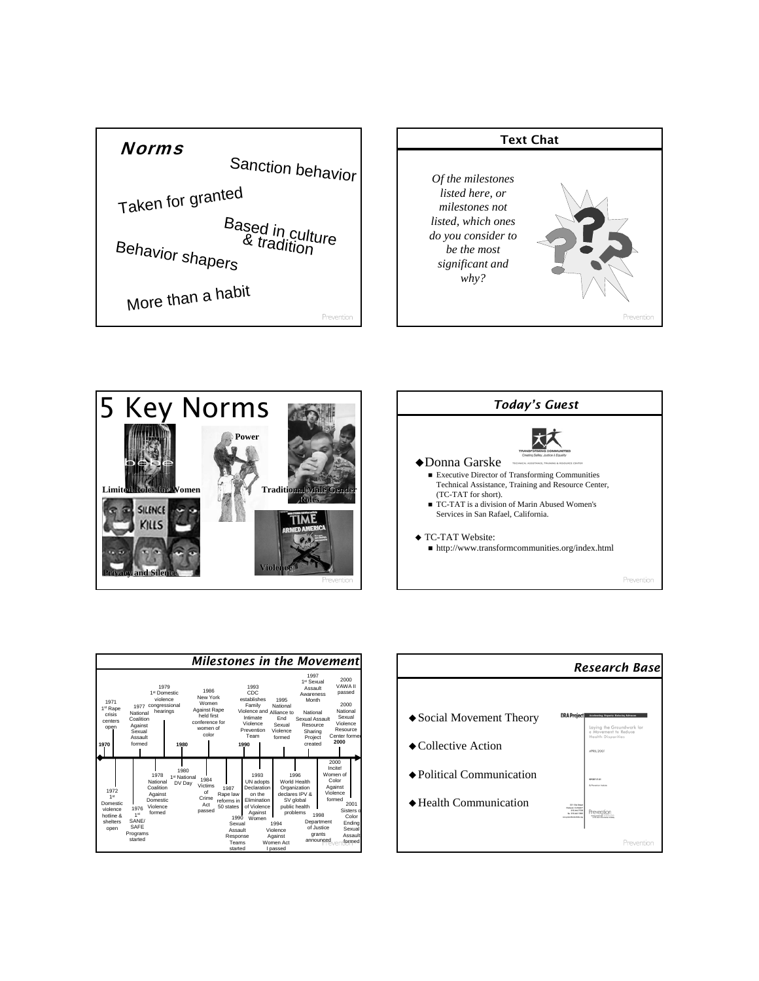









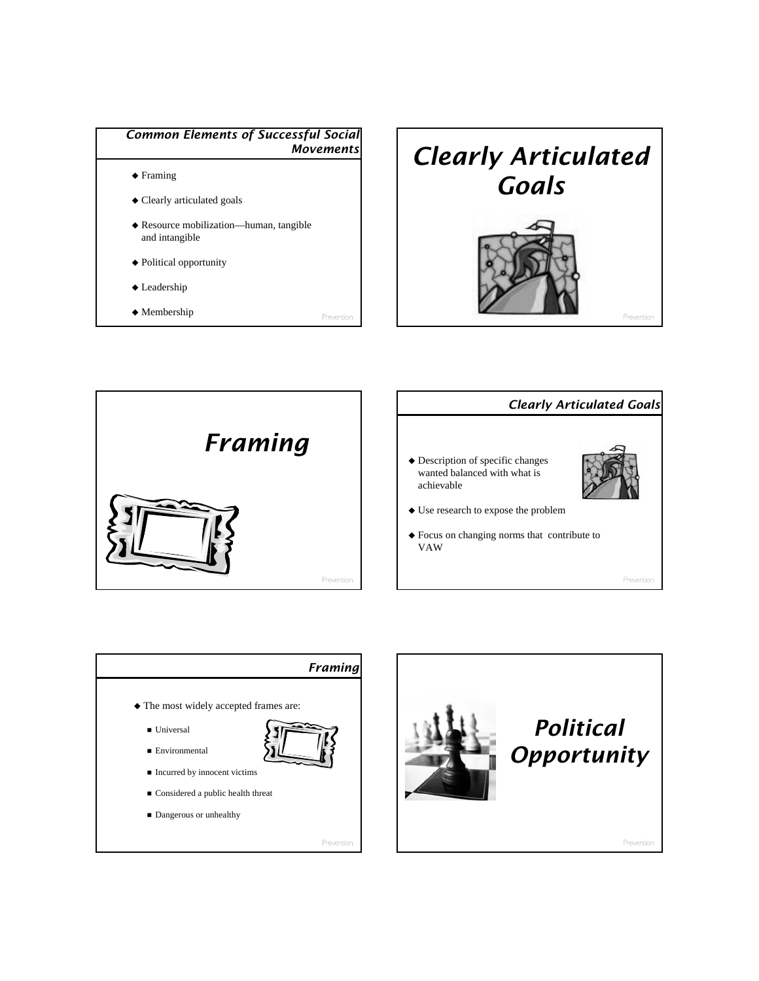









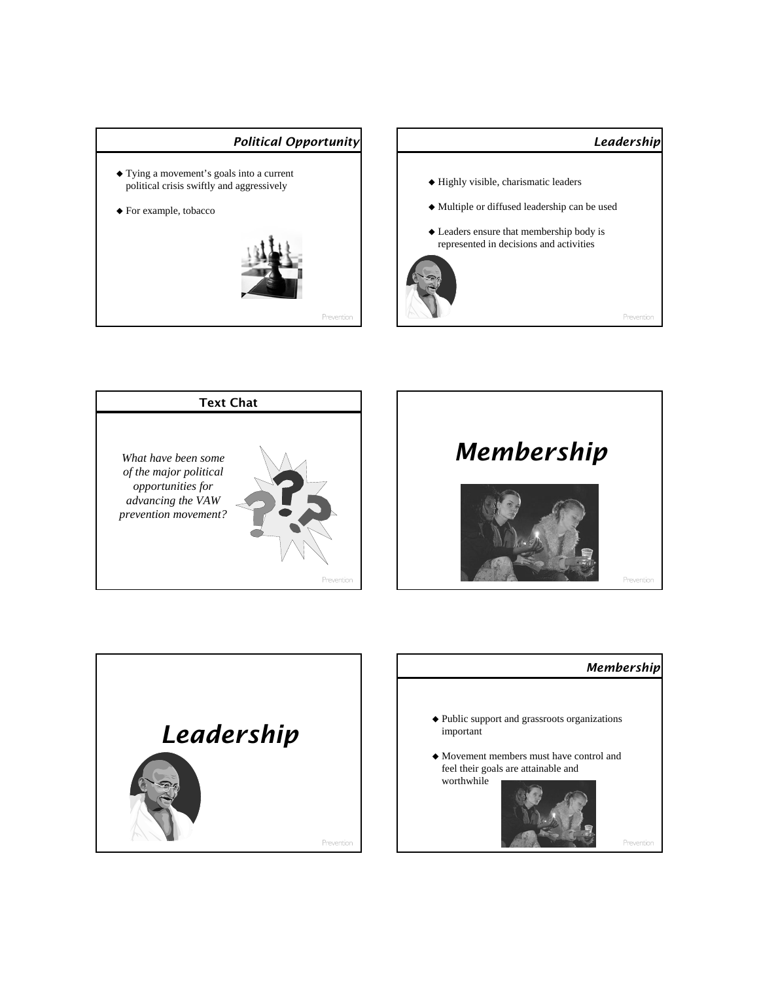









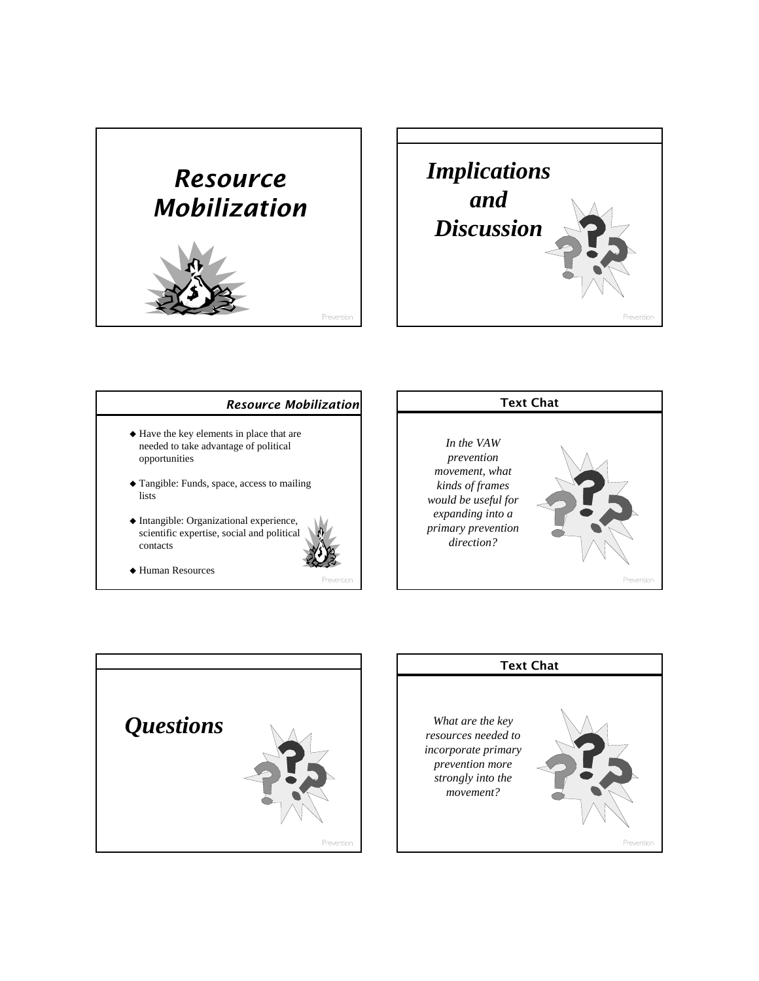



## *Resource Mobilization*  $\blacklozenge$  Have the key elements in place that are needed to take advantage of political opportunities  $\blacklozenge$  Tangible: Funds, space, access to mailing lists  $\blacklozenge$  Intangible: Organizational experience, scientific expertise, social and political contacts Text Chat *In the VAW prevention movement, what kinds of frames would be useful for expanding into a primary prevention direction?*

Human Resources



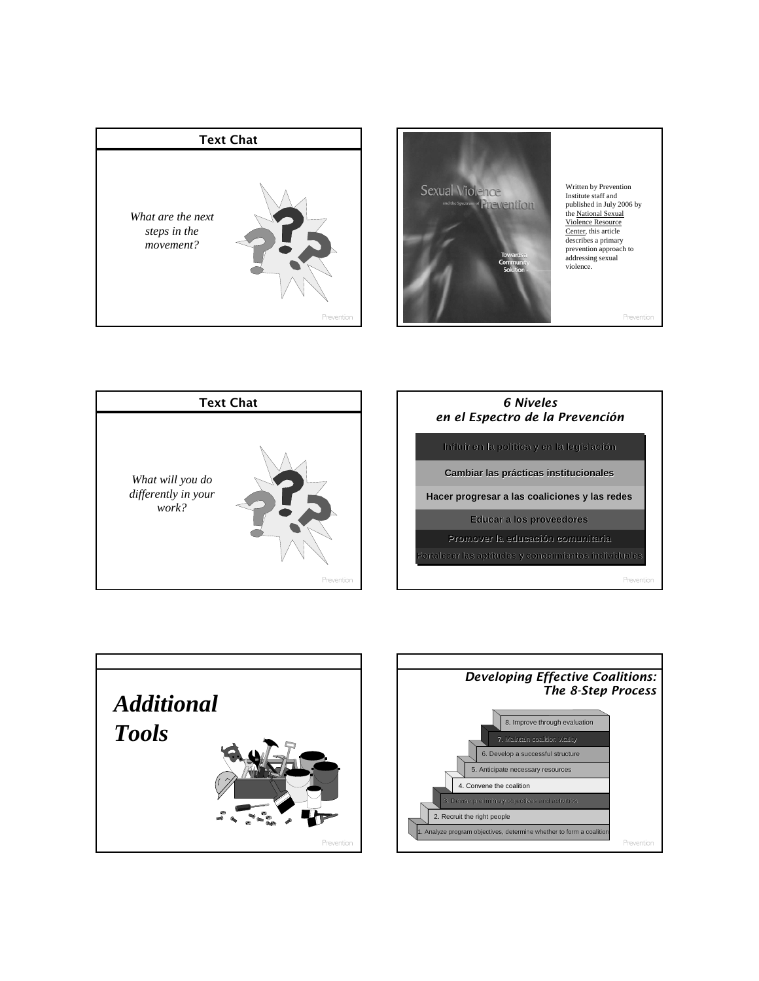